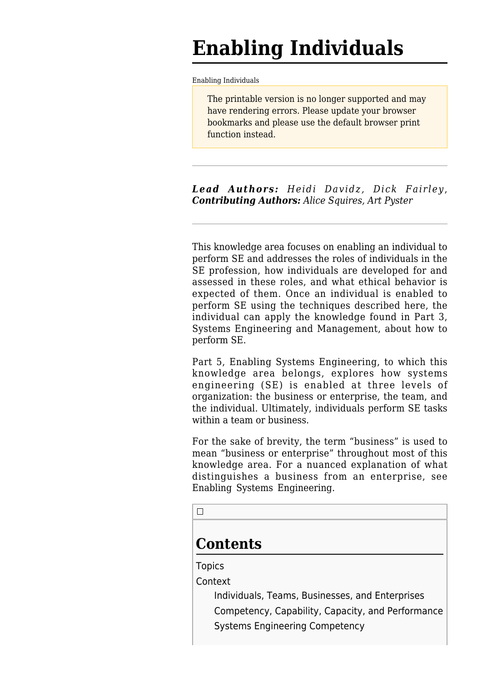# **Enabling Individuals**

[Enabling Individuals](http://www.sebokwiki.org/wiki/Enabling_Individuals)

The printable version is no longer supported and may have rendering errors. Please update your browser bookmarks and please use the default browser print function instead.

*Lead Authors: Heidi Davidz, Dick Fairley*, *Contributing Authors: Alice Squires, Art Pyster*

This knowledge area focuses on enabling an individual to perform SE and addresses the roles of individuals in the SE profession, how individuals are developed for and assessed in these roles, and what ethical behavior is expected of them. Once an individual is enabled to perform SE using the techniques described here, the individual can apply the knowledge found in Part 3, [Systems Engineering and Management](http://www.sebokwiki.org/wiki/Systems_Engineering_and_Management), about how to perform SE.

Part 5, [Enabling Systems Engineering,](http://www.sebokwiki.org/wiki/Enabling_Systems_Engineering) to which this knowledge area belongs, explores how systems engineering (SE) is enabled at three levels of organization: the business or enterprise, the team, and the individual. Ultimately, individuals perform SE tasks within a team or business.

For the sake of brevity, the term "business" is used to mean "business or enterprise" throughout most of this knowledge area. For a nuanced explanation of what distinguishes a business from an enterprise, see [Enabling Systems Engineering](http://www.sebokwiki.org/wiki/Enabling_Systems_Engineering).

 $\Box$ 

# **Contents**

**[Topics](#page--1-0)** 

[Context](#page--1-0)

[Individuals, Teams, Businesses, and Enterprises](#Individuals.2C_Teams.2C_Businesses.2C_and_Enterprises) [Competency, Capability, Capacity, and Performance](#Competency.2C_Capability.2C_Capacity.2C_and_Performance) [Systems Engineering Competency](#page--1-0)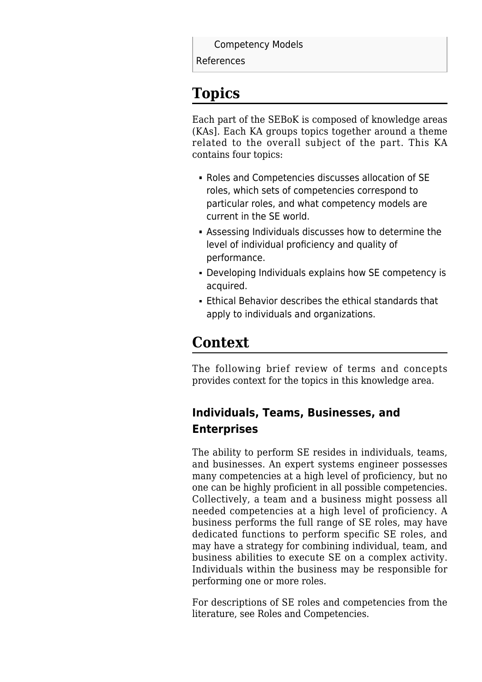[Competency Models](#page--1-0)

[References](#page--1-0)

# **Topics**

Each part of the SEBoK is composed of knowledge areas (KAs]. Each KA groups topics together around a theme related to the overall subject of the part. This KA contains four topics:

- [Roles and Competencies](http://www.sebokwiki.org/wiki/Roles_and_Competencies) discusses allocation of SE roles, which sets of competencies correspond to particular roles, and what competency models are current in the SE world.
- [Assessing Individuals](http://www.sebokwiki.org/wiki/Assessing_Individuals) discusses how to determine the level of individual proficiency and quality of performance.
- [Developing Individuals](http://www.sebokwiki.org/wiki/Developing_Individuals) explains how SE competency is acquired.
- [Ethical Behavior](http://www.sebokwiki.org/wiki/Ethical_Behavior) describes the ethical standards that apply to individuals and organizations.

## **Context**

The following brief review of terms and concepts provides context for the topics in this knowledge area.

### **Individuals, Teams, Businesses, and Enterprises**

The ability to perform SE resides in individuals, teams, and businesses. An expert systems engineer possesses many competencies at a high level of proficiency, but no one can be highly proficient in all possible competencies. Collectively, a team and a business might possess all needed competencies at a high level of proficiency. A business performs the full range of SE roles, may have dedicated functions to perform specific SE roles, and may have a strategy for combining individual, team, and business abilities to execute SE on a complex activity. Individuals within the business may be responsible for performing one or more roles.

For descriptions of SE roles and competencies from the literature, see [Roles and Competencies.](http://www.sebokwiki.org/wiki/Roles_and_Competencies)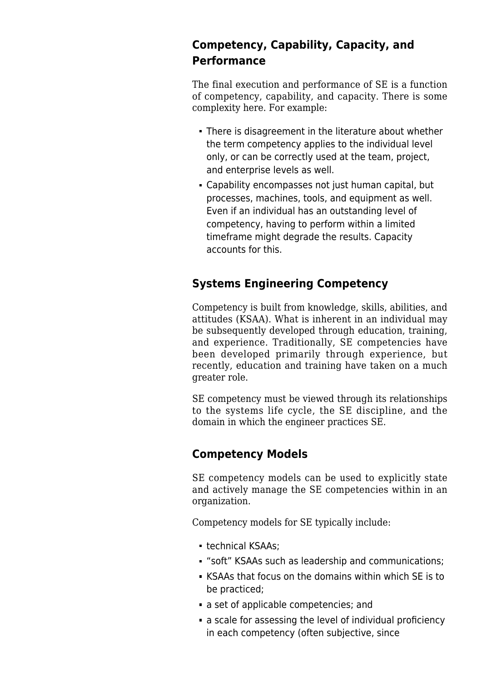#### **Competency, Capability, Capacity, and Performance**

The final execution and performance of SE is a function of competency, capability, and capacity. There is some complexity here. For example:

- There is disagreement in the literature about whether the term competency applies to the individual level only, or can be correctly used at the team, project, and enterprise levels as well.
- Capability encompasses not just human capital, but processes, machines, tools, and equipment as well. Even if an individual has an outstanding level of competency, having to perform within a limited timeframe might degrade the results. Capacity accounts for this.

#### **Systems Engineering Competency**

Competency is built from knowledge, skills, abilities, and attitudes (KSAA). What is inherent in an individual may be subsequently developed through education, training, and experience. Traditionally, SE competencies have been developed primarily through experience, but recently, education and training have taken on a much greater role.

SE competency must be viewed through its relationships to the systems life cycle, the SE discipline, and the domain in which the engineer practices SE.

#### **Competency Models**

SE competency models can be used to explicitly state and actively manage the SE competencies within in an organization.

Competency models for SE typically include:

- technical KSAAs;
- "soft" KSAAs such as leadership and communications;
- KSAAs that focus on the domains within which SE is to be practiced;
- a set of applicable competencies; and
- a scale for assessing the level of individual proficiency in each competency (often subjective, since